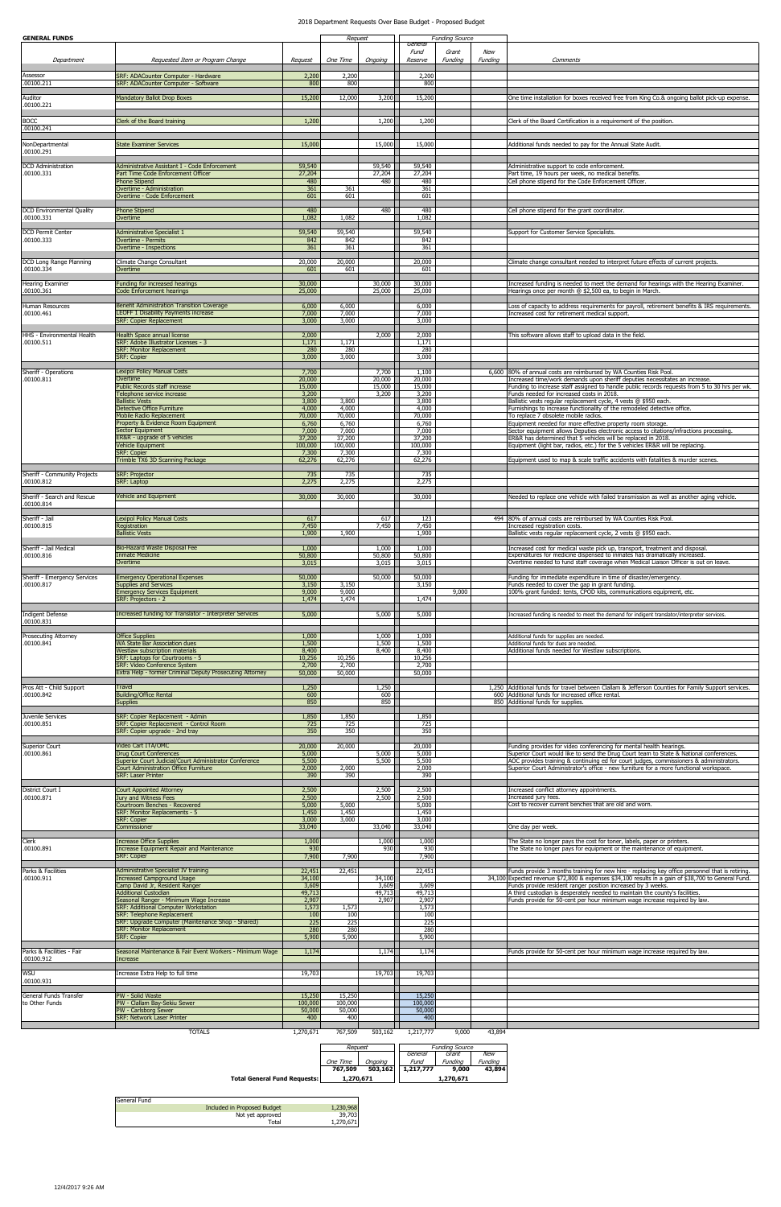| <b>GENERAL FUNDS</b>                       |                                                                                                                              |                           | Request                  |                     | General                  | <b>Funding Source</b> |                       |                                                                                                                                                                                                                                                                        |
|--------------------------------------------|------------------------------------------------------------------------------------------------------------------------------|---------------------------|--------------------------|---------------------|--------------------------|-----------------------|-----------------------|------------------------------------------------------------------------------------------------------------------------------------------------------------------------------------------------------------------------------------------------------------------------|
| Department                                 | Requested Item or Program Change                                                                                             | Request                   | One Time                 | Ongoing             | Fund<br>Reserve          | Grant<br>Funding      | <b>New</b><br>Funding | Comments                                                                                                                                                                                                                                                               |
| Assessor<br>.00100.211                     | SRF: ADACounter Computer - Hardware<br>SRF: ADACounter Computer - Software                                                   | 2,200<br>800              | 2,200<br>800             |                     | 2,200<br>800             |                       |                       |                                                                                                                                                                                                                                                                        |
| Auditor<br>.00100.221                      | <b>Mandatory Ballot Drop Boxes</b>                                                                                           | 15,200                    | 12,000                   | 3,200               | 15,200                   |                       |                       | One time installation for boxes received free from King Co.& ongoing ballot pick-up expense.                                                                                                                                                                           |
| <b>BOCC</b>                                | Clerk of the Board training                                                                                                  | 1,200                     |                          | 1,200               | 1,200                    |                       |                       | Clerk of the Board Certification is a requirement of the position.                                                                                                                                                                                                     |
| .00100.241                                 |                                                                                                                              |                           |                          |                     |                          |                       |                       |                                                                                                                                                                                                                                                                        |
| NonDepartmental<br>.00100.291              | <b>State Examiner Services</b>                                                                                               | 15,000                    |                          | 15,000              | 15,000                   |                       |                       | Additional funds needed to pay for the Annual State Audit.                                                                                                                                                                                                             |
| <b>DCD</b> Administration<br>.00100.331    | Administrative Assistant I - Code Enforcement<br>Part Time Code Enforcement Officer                                          | 59,540<br>27,204          |                          | 59,540<br>27,204    | 59,540<br>27,204         |                       |                       | Administrative support to code enforcement.<br>Part time, 19 hours per week, no medical benefits.                                                                                                                                                                      |
|                                            | Phone Stipend<br>Overtime - Administration<br>Overtime - Code Enforcement                                                    | 480<br>361<br>601         | 361<br>601               | 480                 | 480<br>361<br>601        |                       |                       | Cell phone stipend for the Code Enforcement Officer.                                                                                                                                                                                                                   |
| <b>DCD Environmental Quality</b>           | Phone Stipend                                                                                                                | 480                       |                          | 480                 | 480                      |                       |                       | Cell phone stipend for the grant coordinator.                                                                                                                                                                                                                          |
| .00100.331<br><b>DCD Permit Center</b>     | Overtime<br><b>Administrative Specialist 1</b>                                                                               | 1,082<br>59,540           | 1,082<br>59,540          |                     | 1,082<br>59,540          |                       |                       | Support for Customer Service Specialists.                                                                                                                                                                                                                              |
| .00100.333                                 | Overtime - Permits<br>Overtime - Inspections                                                                                 | 842<br>361                | 842<br>361               |                     | 842<br>361               |                       |                       |                                                                                                                                                                                                                                                                        |
| DCD Long Range Planning<br>.00100.334      | Climate Change Consultant<br>Overtime                                                                                        | 20,000<br>601             | 20,000<br>601            |                     | 20,000<br>601            |                       |                       | Climate change consultant needed to interpret future effects of current projects.                                                                                                                                                                                      |
| <b>Hearing Examiner</b><br>.00100.361      | Funding for increased hearings<br><b>Code Enforcement hearings</b>                                                           | 30,000<br>25,000          |                          | 30,000<br>25,000    | 30,000<br>25,000         |                       |                       | Increased funding is needed to meet the demand for hearings with the Hearing Examiner.<br>Hearings once per month @ \$2,500 ea, to begin in March.                                                                                                                     |
| Human Resources                            | <b>Benefit Administration Transition Coverage</b>                                                                            | 6,000                     | 6,000                    |                     | 6,000                    |                       |                       | Loss of capacity to address requirements for payroll, retirement benefits & IRS requirements.                                                                                                                                                                          |
| .00100.461                                 | <b>LEOFF 1 Disability Payments increase</b><br><b>SRF: Copier Replacement</b>                                                | 7,000<br>3,000            | 7,000<br>3,000           |                     | 7,000<br>3,000           |                       |                       | Increased cost for retirement medical support.                                                                                                                                                                                                                         |
| HHS - Environmental Health<br>.00100.511   | Health Space annual license<br>SRF: Adobe Illustrator Licenses - 3                                                           | 2,000<br>1,171            | 1,171                    | 2,000               | 2,000<br>1,171           |                       |                       | This software allows staff to upload data in the field.                                                                                                                                                                                                                |
|                                            | <b>SRF: Monitor Replacement</b><br><b>SRF: Copier</b>                                                                        | 280<br>3,000              | 280<br>3,000             |                     | 280<br>3,000             |                       |                       |                                                                                                                                                                                                                                                                        |
| Sheriff - Operations<br>.00100.811         | <b>Lexipol Policy Manual Costs</b><br>Overtime                                                                               | 7,700<br>20,000           |                          | 7,700<br>20,000     | 1,100<br>20,000          |                       |                       | 6,600 80% of annual costs are reimbursed by WA Counties Risk Pool.<br>Increased time/work demands upon sheriff deputies necessitates an increase.                                                                                                                      |
|                                            | Public Records staff increase<br>Felephone service increase<br><b>Ballistic Vests</b>                                        | 15,000<br>3,200<br>3,800  | 3,800                    | 15,000<br>3,200     | 15,000<br>3,200<br>3,800 |                       |                       | Funding to increase staff assigned to handle public records requests from 5 to 30 hrs per wk.<br>Funds needed for increased costs in 2018.<br>Ballistic vests regular replacement cycle, 4 vests @ \$950 each.                                                         |
|                                            | Detective Office Furniture<br>Mobile Radio Replacement                                                                       | 4,000<br>70,000           | 4,000<br>70,000          |                     | 4,000<br>70,000          |                       |                       | Furnishings to increase functionality of the remodeled detective office.<br>To replace 7 obsolete mobile radios.                                                                                                                                                       |
|                                            | Property & Evidence Room Equipment<br><b>Sector Equipment</b><br>ER&R - upgrade of 5 vehicles                                | 6,760<br>7,000<br>37,200  | 6,760<br>7,000<br>37,200 |                     | 6,760<br>7,000<br>37,200 |                       |                       | Equipment needed for more effective property room storage.<br>Sector equipment allows Deputies electronic access to citations/infractions processing.<br>ER&R has determined that 5 vehicles will be replaced in 2018.                                                 |
|                                            | Vehicle Equipment<br><b>SRF: Copier</b>                                                                                      | 100,000<br>7,300          | 100,000<br>7,300         |                     | 100,000<br>7,300         |                       |                       | Equipment (light bar, radios, etc.) for the 5 vehicles ER&R will be replacing.                                                                                                                                                                                         |
| Sheriff - Community Projects               | Trimble TX6 3D Scanning Package<br><b>SRF: Projector</b>                                                                     | 62,276<br>735             | 62,276<br>735            |                     | 62,276<br>735            |                       |                       | Equipment used to map & scale traffic accidents with fatalities & murder scenes.                                                                                                                                                                                       |
| .00100.812                                 | <b>SRF: Laptop</b>                                                                                                           | 2,275<br>30,000           | 2,275                    |                     | 2,275<br>30,000          |                       |                       |                                                                                                                                                                                                                                                                        |
| Sheriff - Search and Rescue<br>.00100.814  | Vehicle and Equipment                                                                                                        |                           | 30,000                   |                     |                          |                       |                       | Needed to replace one vehicle with failed transmission as well as another aging vehicle.                                                                                                                                                                               |
| Sheriff - Jail<br>.00100.815               | <b>Lexipol Policy Manual Costs</b><br>Registration<br><b>Ballistic Vests</b>                                                 | 617<br>7,450<br>1,900     | 1,900                    | 617<br>7,450        | 123<br>7,450<br>1,900    |                       |                       | 494 80% of annual costs are reimbursed by WA Counties Risk Pool.<br>Increased registration costs.<br>Ballistic vests regular replacement cycle, 2 vests @ \$950 each.                                                                                                  |
| Sheriff - Jail Medical                     | Bio-Hazard Waste Disposal Fee                                                                                                | 1,000                     |                          | 1,000               | 1,000                    |                       |                       | Increased cost for medical waste pick up, transport, treatment and disposal.                                                                                                                                                                                           |
| .00100.816                                 | Inmate Medicine<br>Overtime                                                                                                  | 50,800<br>3,015           |                          | 50,800<br>3,015     | 50,800<br>3,015          |                       |                       | Expenditures for medicine dispensed to inmates has dramatically increased.<br>Overtime needed to fund staff coverage when Medical Liaison Officer is out on leave.                                                                                                     |
| Sheriff - Emergency Services<br>.00100.817 | <b>Emergency Operational Expenses</b><br><b>Supplies and Services</b>                                                        | 50,000<br>3,150           | 3,150                    | 50,000              | 50,000<br>3,150          |                       |                       | Funding for immediate expenditure in time of disaster/emergency.<br>Funds needed to cover the gap in grant funding.                                                                                                                                                    |
|                                            | <b>Emergency Services Equipment</b><br>SRF: Projectors - 2                                                                   | 9,000<br>1,474            | 9,000<br>1,474           |                     | 1,474                    | 9,000                 |                       | 100% grant funded: tents, CPOD kits, communications equipment, etc.                                                                                                                                                                                                    |
| Indigent Defense<br>.00100.831             | Increased funding for Translator - Interpreter Services                                                                      | 5,000                     |                          | 5,000               | 5,000                    |                       |                       | Increased funding is needed to meet the demand for indigent translator/interpreter services.                                                                                                                                                                           |
| Prosecuting Attorney<br>.00100.841         | <b>Office Supplies</b><br>WA State Bar Association dues                                                                      | 1,000<br>1,500            |                          | 1,000<br>1,500      | 1,000<br>1,500           |                       |                       | Additional funds for supplies are needed.<br>Additional funds for dues are needed.                                                                                                                                                                                     |
|                                            | <b>Westlaw subscription materials</b><br>SRF: Laptops for Courtrooms - 5<br><b>SRF: Video Conference System</b>              | 8,400<br>10,256<br>2,700  | 10,256<br>2,700          | 8,400               | 8,400<br>10,256<br>2,700 |                       |                       | Additional funds needed for Westlaw subscriptions.                                                                                                                                                                                                                     |
|                                            | Extra Help - former Criminal Deputy Prosecuting Attorney                                                                     | 50,000                    | 50,000                   |                     | 50,000                   |                       |                       |                                                                                                                                                                                                                                                                        |
| Pros Att - Child Support<br>.00100.842     | Travel<br><b>Building/Office Rental</b><br><b>Supplies</b>                                                                   | 1,250<br>600<br>850       |                          | 1,250<br>600<br>850 |                          |                       |                       | 1,250 Additional funds for travel between Clallam & Jefferson Counties for Family Support services.<br>600 Additional funds for increased office rental<br>850 Additional funds for supplies.                                                                          |
| Juvenile Services                          | SRF: Copier Replacement - Admin                                                                                              | 1,850                     | 1,850                    |                     | 1,850                    |                       |                       |                                                                                                                                                                                                                                                                        |
| .00100.851                                 | SRF: Copier Replacement - Control Room<br>SRF: Copier upgrade - 2nd tray                                                     | 725<br>350                | 725<br>350               |                     | 725<br>350               |                       |                       |                                                                                                                                                                                                                                                                        |
| <b>Superior Court</b><br>.00100.861        | Video Cart ITA/OMC<br><b>Drug Court Conferences</b>                                                                          | 20,000<br>5,000           | 20,000                   | 5,000               | 20,000<br>5,000          |                       |                       | Funding provides for video conferencing for mental health hearings.<br>Superior Court would like to send the Drug Court team to State & National conferences.                                                                                                          |
|                                            | Superior Court Judicial/Court Administrator Conference<br>Court Administration Office Furniture<br><b>SRF: Laser Printer</b> | 5,500<br>2,000<br>390     | 2,000<br>390             | 5,500               | 5,500<br>2,000<br>390    |                       |                       | AOC provides training & continuing ed for court judges, commissioners & administrators.<br>Superior Court Administrator's office - new furniture for a more functional workspace.                                                                                      |
| District Court I                           | <b>Court Appointed Attorney</b><br>Jury and Witness Fees                                                                     | 2,500<br>2,500            |                          | 2,500<br>2,500      | 2,500<br>2,500           |                       |                       | Increased conflict attorney appointments.<br>Increased jury fees.                                                                                                                                                                                                      |
| .00100.871                                 | Courtroom Benches - Recovered<br>SRF: Monitor Replacements - 5                                                               | 5,000<br>1,450            | 5,000<br>1,450           |                     | 5,000<br>1,450           |                       |                       | Cost to recover current benches that are old and worn.                                                                                                                                                                                                                 |
|                                            | <b>SRF: Copier</b><br>Commissioner                                                                                           | 3,000<br>33,040           | 3,000                    | 33,040              | 3,000<br>33,040          |                       |                       | One day per week.                                                                                                                                                                                                                                                      |
| Clerk<br>.00100.891                        | Increase Office Supplies<br><b>Increase Equipment Repair and Maintenance</b>                                                 | 1,000<br>930              |                          | 1,000<br>930        | 1,000<br>930             |                       |                       | The State no longer pays the cost for toner, labels, paper or printers.<br>The State no longer pays for equipment or the maintenance of equipment.                                                                                                                     |
|                                            | <b>SRF: Copier</b>                                                                                                           | 7,900                     | 7,900<br>22,451          |                     | 7,900<br>22,451          |                       |                       |                                                                                                                                                                                                                                                                        |
| Parks & Facilities<br>.00100.911           | Administrative Specialist IV training<br><b>Increased Campground Usage</b><br>Camp David Jr, Resident Ranger                 | 22,451<br>34,100<br>3,609 |                          | 34,100<br>3,609     | 3,609                    |                       |                       | Funds provide 3 months training for new hire - replacing key office personnel that is retiring.<br>34,100 Expected revenue \$72,800 & expenses \$34,100 results in a gain of \$38,700 to General Fund.<br>Funds provide resident ranger position increased by 3 weeks. |
|                                            | <b>Additional Custodian</b><br>Seasonal Ranger - Minimum Wage Increase<br><b>SRF: Additional Computer Workstation</b>        | 49,713<br>2,907<br>1,573  | 1,573                    | 49,713<br>2,907     | 49,713<br>2,907<br>1,573 |                       |                       | A third custodian is desperately needed to maintain the county's facilities.<br>Funds provide for 50-cent per hour minimum wage increase required by law.                                                                                                              |
|                                            | SRF: Telephone Replacement<br>SRF: Upgrade Computer (Maintenance Shop - Shared)                                              | 100<br>225                | 100<br>225               |                     | 100<br>225               |                       |                       |                                                                                                                                                                                                                                                                        |
|                                            | <b>SRF: Monitor Replacement</b><br><b>SRF: Copier</b>                                                                        | 280<br>5,900              | 280<br>5,900             |                     | 280<br>5,900             |                       |                       |                                                                                                                                                                                                                                                                        |
| Parks & Facilities - Fair<br>.00100.912    | Seasonal Maintenance & Fair Event Workers - Minimum Wage<br>Increase                                                         | 1,174                     |                          | 1,174               | 1,174                    |                       |                       | Funds provide for 50-cent per hour minimum wage increase required by law.                                                                                                                                                                                              |
| <b>WSU</b><br>.00100.931                   | ncrease Extra Help to full time                                                                                              | 19,703                    |                          | 19,703              | 19,703                   |                       |                       |                                                                                                                                                                                                                                                                        |
| General Funds Transfer                     | PW - Solid Waste                                                                                                             | 15,250                    | 15,250                   |                     | 15,250                   |                       |                       |                                                                                                                                                                                                                                                                        |
| to Other Funds                             | PW - Clallam Bay-Sekiu Sewer<br>PW - Carlsborg Sewer<br><b>SRF: Network Laser Printer</b>                                    | 100,000<br>50,000<br>400  | 100,000<br>50,000<br>400 |                     | 100,000<br>50,000<br>400 |                       |                       |                                                                                                                                                                                                                                                                        |
|                                            | <b>TOTALS</b>                                                                                                                | 1,270,671                 | 767,509                  |                     | $503,162$ $1,217,777$    | 9,000                 | 43,894                |                                                                                                                                                                                                                                                                        |

| <b>Total General Fund Requests:</b> | 1,270,671 |         |                       | 1.270.671 |         |  |
|-------------------------------------|-----------|---------|-----------------------|-----------|---------|--|
|                                     | 767.509   | 503,162 | 1.217.777             | 9,000     | 43.894  |  |
|                                     | One Time  | Onaoina | Fund                  | Fundina   | Fundina |  |
|                                     |           |         | General               | Grant     | New     |  |
|                                     | Reauest   |         | <b>Funding Source</b> |           |         |  |

| General Fund |                             |           |
|--------------|-----------------------------|-----------|
|              | Included in Proposed Budget | 1,230,968 |
|              | Not yet approved            | 39,703    |
|              | Total                       | 1.270.671 |

## 2018 Department Requests Over Base Budget - Proposed Budget